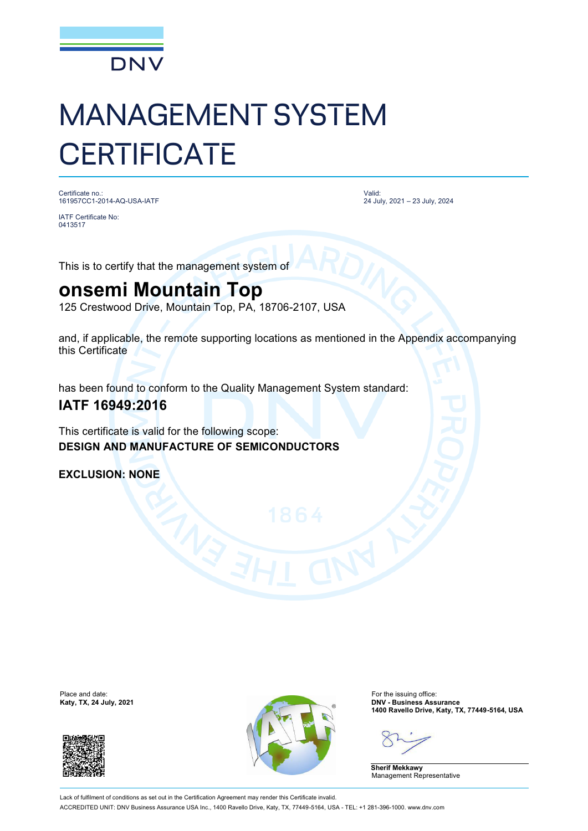

# MANAGEMENT SYSTEM **CERTIFICATE**

Certificate no.: 161957CC1-2014-AQ-USA-IATF

IATF Certificate No: 0413517

Valid: 24 July, 2021 – 23 July, 2024

This is to certify that the management system of

## **onsemi Mountain Top**

125 Crestwood Drive, Mountain Top, PA, 18706-2107, USA

and, if applicable, the remote supporting locations as mentioned in the Appendix accompanying this Certificate

has been found to conform to the Quality Management System standard:

### **IATF 16949:2016**

This certificate is valid for the following scope: **DESIGN AND MANUFACTURE OF SEMICONDUCTORS**

**EXCLUSION: NONE**

Place and date:<br>Katy, TX, 24 July, 2021





For the issuing office:<br>**DNV - Business Assurance 1400 Ravello Drive, Katy, TX, 77449-5164, USA**

**Sherif Mekkawy** Management Representative